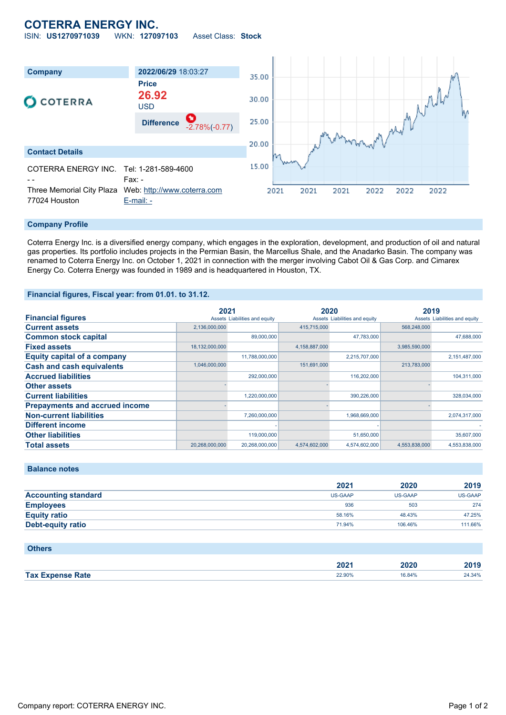# **COTERRA ENERGY INC.**

ISIN: **US1270971039** WKN: **127097103** Asset Class: **Stock**



### **Company Profile**

Coterra Energy Inc. is a diversified energy company, which engages in the exploration, development, and production of oil and natural gas properties. Its portfolio includes projects in the Permian Basin, the Marcellus Shale, and the Anadarko Basin. The company was renamed to Coterra Energy Inc. on October 1, 2021 in connection with the merger involving Cabot Oil & Gas Corp. and Cimarex Energy Co. Coterra Energy was founded in 1989 and is headquartered in Houston, TX.

#### **Financial figures, Fiscal year: from 01.01. to 31.12.**

|                                       | 2021                          |                | 2020                          |               | 2019                          |               |
|---------------------------------------|-------------------------------|----------------|-------------------------------|---------------|-------------------------------|---------------|
| <b>Financial figures</b>              | Assets Liabilities and equity |                | Assets Liabilities and equity |               | Assets Liabilities and equity |               |
| <b>Current assets</b>                 | 2,136,000,000                 |                | 415,715,000                   |               | 568,248,000                   |               |
| <b>Common stock capital</b>           |                               | 89,000,000     |                               | 47.783.000    |                               | 47.688.000    |
| <b>Fixed assets</b>                   | 18,132,000,000                |                | 4,158,887,000                 |               | 3,985,590,000                 |               |
| <b>Equity capital of a company</b>    |                               | 11,788,000,000 |                               | 2,215,707,000 |                               | 2,151,487,000 |
| <b>Cash and cash equivalents</b>      | 1,046,000,000                 |                | 151,691,000                   |               | 213,783,000                   |               |
| <b>Accrued liabilities</b>            |                               | 292,000,000    |                               | 116,202,000   |                               | 104,311,000   |
| <b>Other assets</b>                   |                               |                |                               |               |                               |               |
| <b>Current liabilities</b>            |                               | 1,220,000,000  |                               | 390,226,000   |                               | 328,034,000   |
| <b>Prepayments and accrued income</b> |                               |                |                               |               |                               |               |
| <b>Non-current liabilities</b>        |                               | 7,260,000,000  |                               | 1,968,669,000 |                               | 2,074,317,000 |
| <b>Different income</b>               |                               |                |                               |               |                               |               |
| <b>Other liabilities</b>              |                               | 119,000,000    |                               | 51,650,000    |                               | 35,607,000    |
| <b>Total assets</b>                   | 20,268,000,000                | 20.268.000.000 | 4.574.602.000                 | 4.574.602.000 | 4.553.838.000                 | 4,553,838,000 |

**Balance notes**

**Others**

|                            | 2021    | 2020           | 2019    |
|----------------------------|---------|----------------|---------|
| <b>Accounting standard</b> | US-GAAP | <b>US-GAAP</b> | US-GAAP |
| <b>Employees</b>           | 936     | 503            | 274     |
| <b>Equity ratio</b>        | 58.16%  | 48.43%         | 47.25%  |
| <b>Debt-equity ratio</b>   | 71.94%  | 106.46%        | 111.66% |

| <b>PUILTS</b>           |        |        |        |
|-------------------------|--------|--------|--------|
|                         |        |        |        |
|                         | 2021   | 2020   | 2019   |
| <b>Tax Expense Rate</b> | 22.90% | 16.84% | 24.34% |